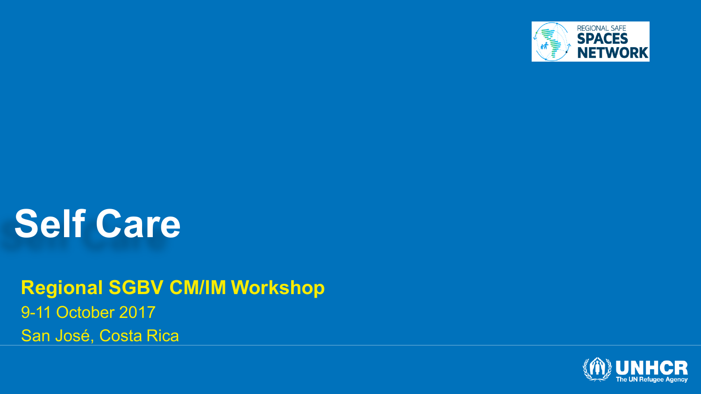

### **Self Care**

**Regional SGBV CM/IM Workshop** 9-11 October 2017 San José, Costa Rica

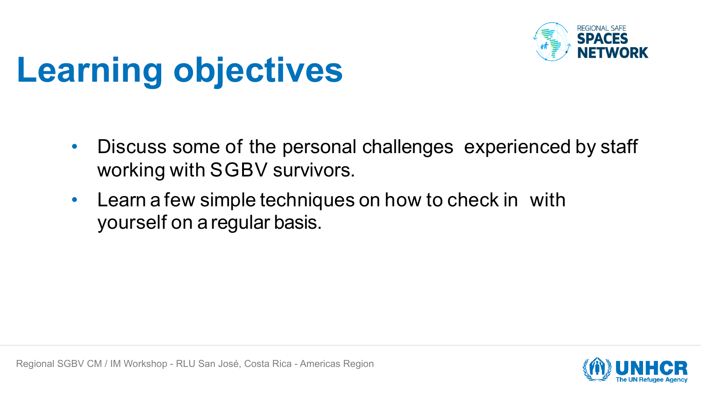

# **Learning objectives**

- Discuss some of the personal challenges experienced by staff working with SGBV survivors.
- Learn a few simple techniques on how to check in with yourself on a regular basis.

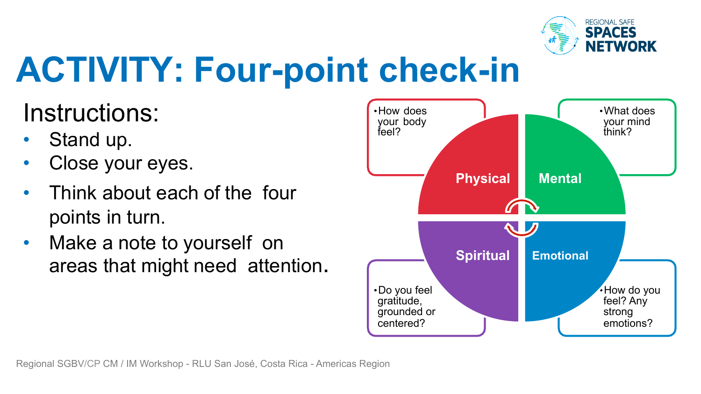

## **ACTIVITY: Four-point check-in**

#### Instructions:

- Stand up.
- Close your eyes.
- Think about each of the four points in turn.
- Make a note to yourself on

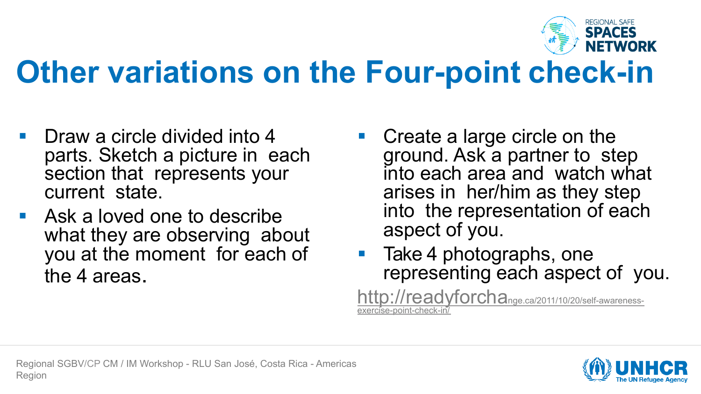

### **Other variations on the Four-point check-in**

- § Draw a circle divided into 4 parts. Sketch a picture in each section that represents your current state.
- Ask a loved one to describe what they are observing about you at the moment for each of the 4 areas.
- § Create a large circle on the ground. Ask a partner to step into each area and watch what arises in her/him as they step into the representation of each aspect of you.
- Take 4 photographs, one representing each aspect of you.

http://readyforchange.ca/2011/10/20/self-awarenessexercise-point-check-in/

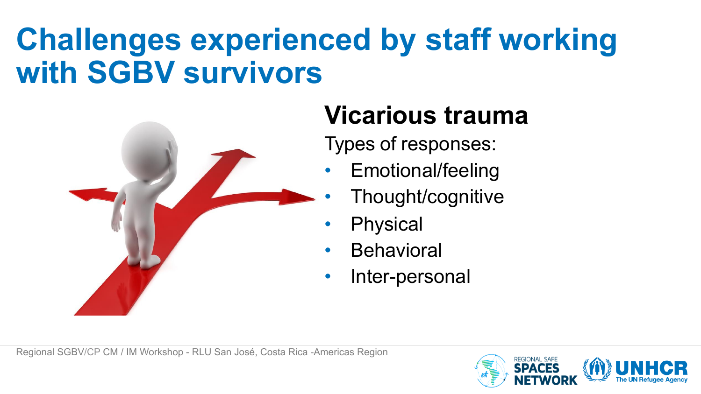### **Challenges experienced by staff working with SGBV survivors**



#### **Vicarious trauma**

Types of responses:

- Emotional/feeling
	- Thought/cognitive
- **Physical**
- **Behavioral**
- Inter-personal

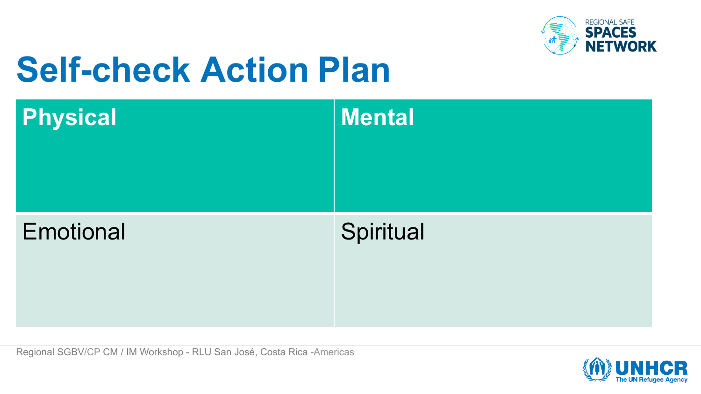

## **Self-check Action Plan**

| <b>Physical</b> | Mental    |
|-----------------|-----------|
| Emotional       | Spiritual |

Regional SGBV/CP CM / IM Workshop - RLU San José, Costa Rica -Americas

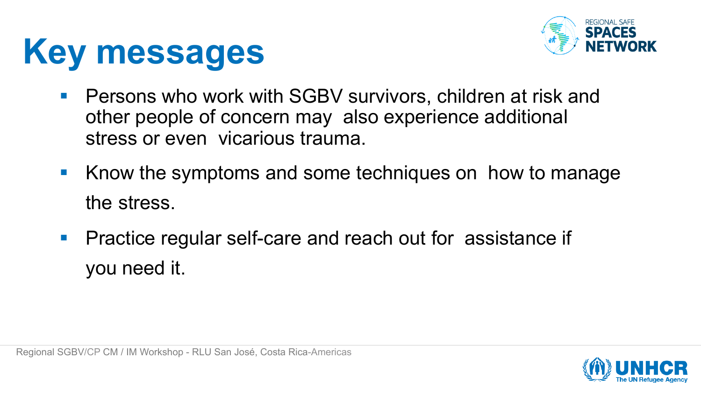



- Persons who work with SGBV survivors, children at risk and other people of concern may also experience additional stress or even vicarious trauma.
- Know the symptoms and some techniques on how to manage the stress.
- Practice regular self-care and reach out for assistance if you need it.